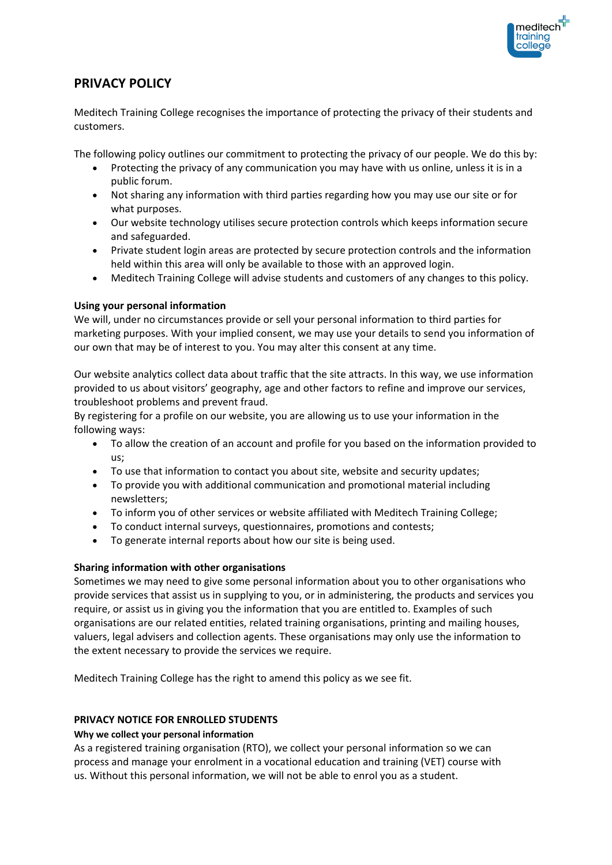

# **PRIVACY POLICY**

Meditech Training College recognises the importance of protecting the privacy of their students and customers.

The following policy outlines our commitment to protecting the privacy of our people. We do this by:

- Protecting the privacy of any communication you may have with us online, unless it is in a public forum.
- Not sharing any information with third parties regarding how you may use our site or for what purposes.
- Our website technology utilises secure protection controls which keeps information secure and safeguarded.
- Private student login areas are protected by secure protection controls and the information held within this area will only be available to those with an approved login.
- Meditech Training College will advise students and customers of any changes to this policy.

## **Using your personal information**

We will, under no circumstances provide or sell your personal information to third parties for marketing purposes. With your implied consent, we may use your details to send you information of our own that may be of interest to you. You may alter this consent at any time.

Our website analytics collect data about traffic that the site attracts. In this way, we use information provided to us about visitors' geography, age and other factors to refine and improve our services, troubleshoot problems and prevent fraud.

By registering for a profile on our website, you are allowing us to use your information in the following ways:

- To allow the creation of an account and profile for you based on the information provided to us;
- To use that information to contact you about site, website and security updates;
- To provide you with additional communication and promotional material including newsletters;
- To inform you of other services or website affiliated with Meditech Training College;
- To conduct internal surveys, questionnaires, promotions and contests;
- To generate internal reports about how our site is being used.

## **Sharing information with other organisations**

Sometimes we may need to give some personal information about you to other organisations who provide services that assist us in supplying to you, or in administering, the products and services you require, or assist us in giving you the information that you are entitled to. Examples of such organisations are our related entities, related training organisations, printing and mailing houses, valuers, legal advisers and collection agents. These organisations may only use the information to the extent necessary to provide the services we require.

Meditech Training College has the right to amend this policy as we see fit.

## **PRIVACY NOTICE FOR ENROLLED STUDENTS**

## **Why we collect your personal information**

As a registered training organisation (RTO), we collect your personal information so we can process and manage your enrolment in a vocational education and training (VET) course with us. Without this personal information, we will not be able to enrol you as a student.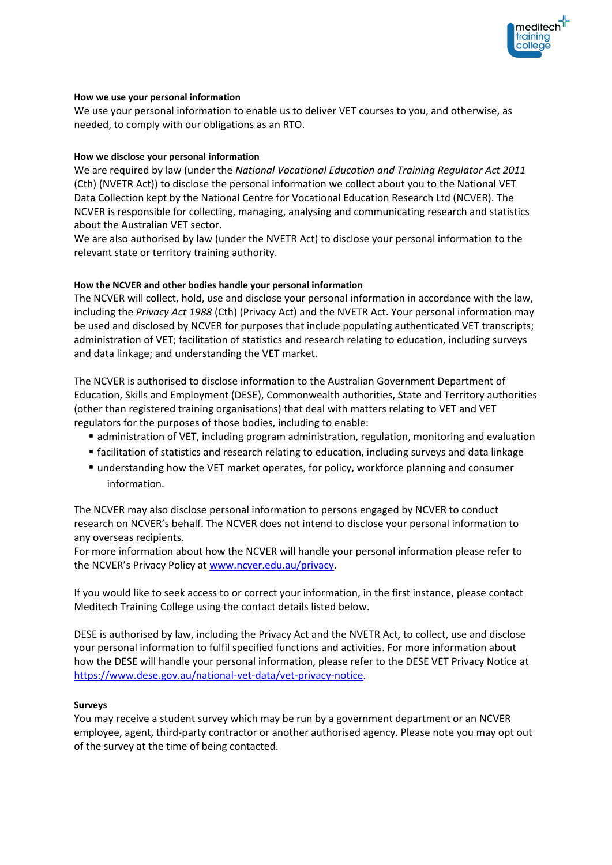

#### **How we use your personal information**

We use your personal information to enable us to deliver VET courses to you, and otherwise, as needed, to comply with our obligations as an RTO.

#### **How we disclose your personal information**

We are required by law (under the *National Vocational Education and Training Regulator Act 2011*  (Cth) (NVETR Act)) to disclose the personal information we collect about you to the National VET Data Collection kept by the National Centre for Vocational Education Research Ltd (NCVER). The NCVER is responsible for collecting, managing, analysing and communicating research and statistics about the Australian VET sector.

We are also authorised by law (under the NVETR Act) to disclose your personal information to the relevant state or territory training authority.

## **How the NCVER and other bodies handle your personal information**

The NCVER will collect, hold, use and disclose your personal information in accordance with the law, including the *Privacy Act 1988* (Cth) (Privacy Act) and the NVETR Act. Your personal information may be used and disclosed by NCVER for purposes that include populating authenticated VET transcripts; administration of VET; facilitation of statistics and research relating to education, including surveys and data linkage; and understanding the VET market.

The NCVER is authorised to disclose information to the Australian Government Department of Education, Skills and Employment (DESE), Commonwealth authorities, State and Territory authorities (other than registered training organisations) that deal with matters relating to VET and VET regulators for the purposes of those bodies, including to enable:

- **E** administration of VET, including program administration, regulation, monitoring and evaluation
- facilitation of statistics and research relating to education, including surveys and data linkage
- **understanding how the VET market operates, for policy, workforce planning and consumer** information.

The NCVER may also disclose personal information to persons engaged by NCVER to conduct research on NCVER's behalf. The NCVER does not intend to disclose your personal information to any overseas recipients.

For more information about how the NCVER will handle your personal information please refer to the NCVER's Privacy Policy at [www.ncver.edu.au/privacy.](http://www.ncver.edu.au/privacy)

If you would like to seek access to or correct your information, in the first instance, please contact Meditech Training College using the contact details listed below.

DESE is authorised by law, including the Privacy Act and the NVETR Act, to collect, use and disclose your personal information to fulfil specified functions and activities. For more information about how the DESE will handle your personal information, please refer to the DESE VET Privacy Notice at [https://www.dese.gov.au/national-vet-data/vet-privacy-notice.](https://www.dese.gov.au/national-vet-data/vet-privacy-notice)

#### **Surveys**

You may receive a student survey which may be run by a government department or an NCVER employee, agent, third-party contractor or another authorised agency. Please note you may opt out of the survey at the time of being contacted.